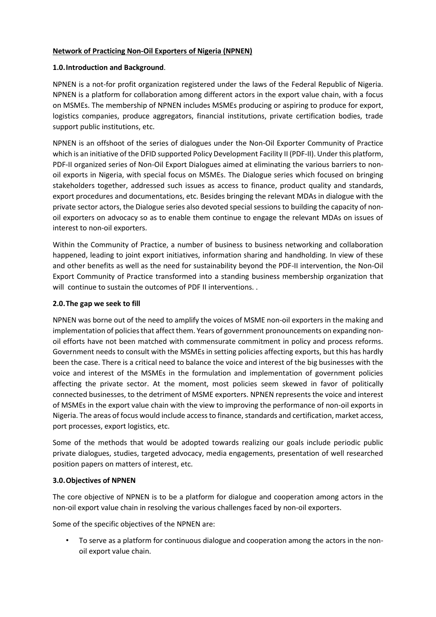### **Network of Practicing Non-Oil Exporters of Nigeria (NPNEN)**

#### **1.0.Introduction and Background**.

NPNEN is a not-for profit organization registered under the laws of the Federal Republic of Nigeria. NPNEN is a platform for collaboration among different actors in the export value chain, with a focus on MSMEs. The membership of NPNEN includes MSMEs producing or aspiring to produce for export, logistics companies, produce aggregators, financial institutions, private certification bodies, trade support public institutions, etc.

NPNEN is an offshoot of the series of dialogues under the Non-Oil Exporter Community of Practice which is an initiative of the DFID supported Policy Development Facility II (PDF-II). Under this platform, PDF-II organized series of Non-Oil Export Dialogues aimed at eliminating the various barriers to nonoil exports in Nigeria, with special focus on MSMEs. The Dialogue series which focused on bringing stakeholders together, addressed such issues as access to finance, product quality and standards, export procedures and documentations, etc. Besides bringing the relevant MDAs in dialogue with the private sector actors, the Dialogue series also devoted special sessions to building the capacity of nonoil exporters on advocacy so as to enable them continue to engage the relevant MDAs on issues of interest to non-oil exporters.

Within the Community of Practice, a number of business to business networking and collaboration happened, leading to joint export initiatives, information sharing and handholding. In view of these and other benefits as well as the need for sustainability beyond the PDF-II intervention, the Non-Oil Export Community of Practice transformed into a standing business membership organization that will continue to sustain the outcomes of PDF II interventions. .

#### **2.0.The gap we seek to fill**

NPNEN was borne out of the need to amplify the voices of MSME non-oil exporters in the making and implementation of policies that affect them. Years of government pronouncements on expanding nonoil efforts have not been matched with commensurate commitment in policy and process reforms. Government needs to consult with the MSMEs in setting policies affecting exports, but this has hardly been the case. There is a critical need to balance the voice and interest of the big businesses with the voice and interest of the MSMEs in the formulation and implementation of government policies affecting the private sector. At the moment, most policies seem skewed in favor of politically connected businesses, to the detriment of MSME exporters. NPNEN represents the voice and interest of MSMEs in the export value chain with the view to improving the performance of non-oil exports in Nigeria. The areas of focus would include access to finance, standards and certification, market access, port processes, export logistics, etc.

Some of the methods that would be adopted towards realizing our goals include periodic public private dialogues, studies, targeted advocacy, media engagements, presentation of well researched position papers on matters of interest, etc.

#### **3.0.Objectives of NPNEN**

The core objective of NPNEN is to be a platform for dialogue and cooperation among actors in the non-oil export value chain in resolving the various challenges faced by non-oil exporters.

Some of the specific objectives of the NPNEN are:

• To serve as a platform for continuous dialogue and cooperation among the actors in the nonoil export value chain.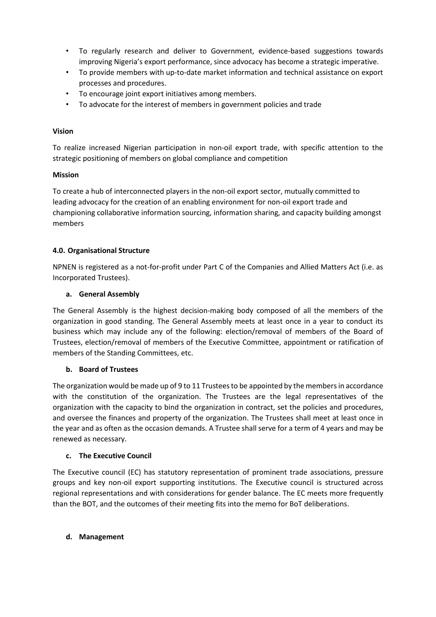- To regularly research and deliver to Government, evidence-based suggestions towards improving Nigeria's export performance, since advocacy has become a strategic imperative.
- To provide members with up-to-date market information and technical assistance on export processes and procedures.
- To encourage joint export initiatives among members.
- To advocate for the interest of members in government policies and trade

### **Vision**

To realize increased Nigerian participation in non-oil export trade, with specific attention to the strategic positioning of members on global compliance and competition

### **Mission**

To create a hub of interconnected players in the non-oil export sector, mutually committed to leading advocacy for the creation of an enabling environment for non-oil export trade and championing collaborative information sourcing, information sharing, and capacity building amongst members

## **4.0. Organisational Structure**

NPNEN is registered as a not-for-profit under Part C of the Companies and Allied Matters Act (i.e. as Incorporated Trustees).

### **a. General Assembly**

The General Assembly is the highest decision-making body composed of all the members of the organization in good standing. The General Assembly meets at least once in a year to conduct its business which may include any of the following: election/removal of members of the Board of Trustees, election/removal of members of the Executive Committee, appointment or ratification of members of the Standing Committees, etc.

## **b. Board of Trustees**

The organization would be made up of 9 to 11 Trustees to be appointed by the membersin accordance with the constitution of the organization. The Trustees are the legal representatives of the organization with the capacity to bind the organization in contract, set the policies and procedures, and oversee the finances and property of the organization. The Trustees shall meet at least once in the year and as often as the occasion demands. A Trustee shall serve for a term of 4 years and may be renewed as necessary.

## **c. The Executive Council**

The Executive council (EC) has statutory representation of prominent trade associations, pressure groups and key non-oil export supporting institutions. The Executive council is structured across regional representations and with considerations for gender balance. The EC meets more frequently than the BOT, and the outcomes of their meeting fits into the memo for BoT deliberations.

#### **d. Management**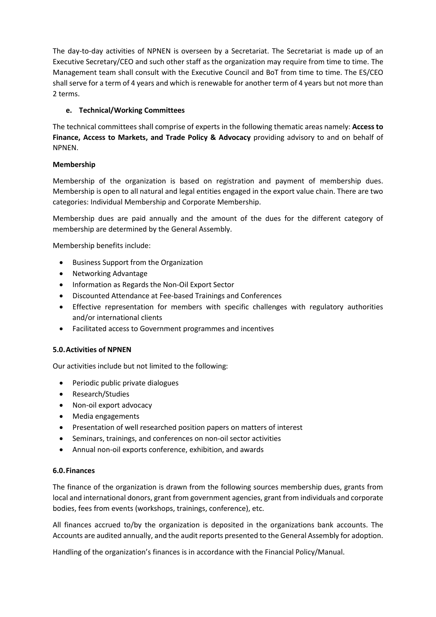The day-to-day activities of NPNEN is overseen by a Secretariat. The Secretariat is made up of an Executive Secretary/CEO and such other staff as the organization may require from time to time. The Management team shall consult with the Executive Council and BoT from time to time. The ES/CEO shall serve for a term of 4 years and which is renewable for another term of 4 years but not more than 2 terms.

# **e. Technical/Working Committees**

The technical committees shall comprise of experts in the following thematic areas namely: **Access to Finance, Access to Markets, and Trade Policy & Advocacy** providing advisory to and on behalf of NPNEN.

## **Membership**

Membership of the organization is based on registration and payment of membership dues. Membership is open to all natural and legal entities engaged in the export value chain. There are two categories: Individual Membership and Corporate Membership.

Membership dues are paid annually and the amount of the dues for the different category of membership are determined by the General Assembly.

Membership benefits include:

- Business Support from the Organization
- Networking Advantage
- Information as Regards the Non-Oil Export Sector
- Discounted Attendance at Fee-based Trainings and Conferences
- Effective representation for members with specific challenges with regulatory authorities and/or international clients
- Facilitated access to Government programmes and incentives

## **5.0.Activities of NPNEN**

Our activities include but not limited to the following:

- Periodic public private dialogues
- Research/Studies
- Non-oil export advocacy
- Media engagements
- Presentation of well researched position papers on matters of interest
- Seminars, trainings, and conferences on non-oil sector activities
- Annual non-oil exports conference, exhibition, and awards

## **6.0.Finances**

The finance of the organization is drawn from the following sources membership dues, grants from local and international donors, grant from government agencies, grant from individuals and corporate bodies, fees from events (workshops, trainings, conference), etc.

All finances accrued to/by the organization is deposited in the organizations bank accounts. The Accounts are audited annually, and the audit reports presented to the General Assembly for adoption.

Handling of the organization's finances is in accordance with the Financial Policy/Manual.